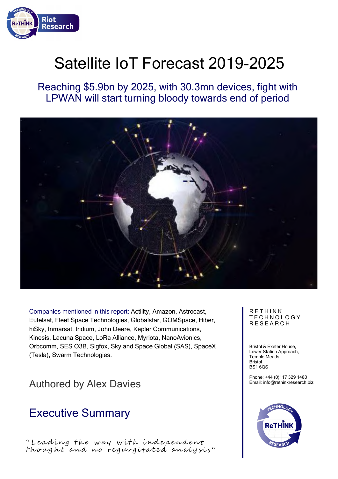

# Satellite IoT Forecast 2019-2025

Reaching \$5.9bn by 2025, with 30.3mn devices, fight with LPWAN will start turning bloody towards end of period



Companies mentioned in this report: Actility, Amazon, Astrocast, Eutelsat, Fleet Space Technologies, Globalstar, GOMSpace, Hiber, hiSky, Inmarsat, Iridium, John Deere, Kepler Communications, Kinesis, Lacuna Space, LoRa Alliance, Myriota, NanoAvionics, Orbcomm, SES O3B, Sigfox, Sky and Space Global (SAS), SpaceX (Tesla), Swarm Technologies.

### Authored by Alex Davies

### Executive Summary

" Leading the way with independent thought and no regurgitated analysis" **RETHINK** T E C H N O L O G Y **RESEARCH** 

Bristol & Exeter House, Lower Station Approach, Temple Meads, Bristol BS1 6QS

Phone: +44 (0)117 329 1480 Email: info@rethinkresearch.biz

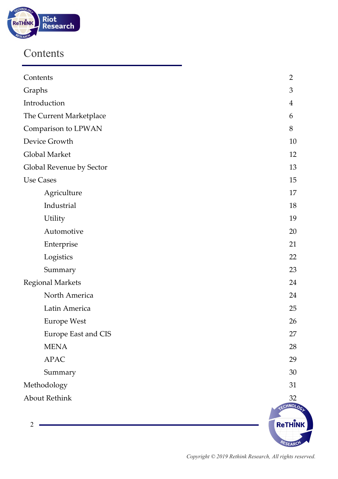

### Contents

| Contents                 | $\overline{2}$ |
|--------------------------|----------------|
| Graphs                   | 3              |
| Introduction             | $\overline{4}$ |
| The Current Marketplace  | 6              |
| Comparison to LPWAN      | 8              |
| Device Growth            | 10             |
| Global Market            | 12             |
| Global Revenue by Sector | 13             |
| <b>Use Cases</b>         | 15             |
| Agriculture              | 17             |
| Industrial               | 18             |
| Utility                  | 19             |
| Automotive               | 20             |
| Enterprise               | 21             |
| Logistics                | 22             |
| Summary                  | 23             |
| <b>Regional Markets</b>  | 24             |
| North America            | 24             |
| Latin America            | 25             |
| <b>Europe West</b>       | 26             |
| Europe East and CIS      | 27             |
| <b>MENA</b>              | 28             |
| <b>APAC</b>              | 29             |
| Summary                  | $30\,$         |
| Methodology              | 31             |
| <b>About Rethink</b>     | 32             |
|                          | ECHNOLOGE      |
| $\overline{2}$           | ReTHINK        |
|                          |                |
|                          | PESEARC        |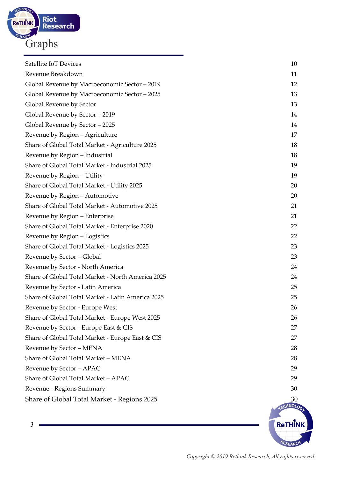

| 3                                                 | ReTHI  |
|---------------------------------------------------|--------|
|                                                   | CHNOLO |
| Share of Global Total Market - Regions 2025       | 30     |
| Revenue - Regions Summary                         | 30     |
| Share of Global Total Market - APAC               | 29     |
| Revenue by Sector - APAC                          | 29     |
| Share of Global Total Market - MENA               | 28     |
| Revenue by Sector - MENA                          | 28     |
| Share of Global Total Market - Europe East & CIS  | 27     |
| Revenue by Sector - Europe East & CIS             | 27     |
| Share of Global Total Market - Europe West 2025   | 26     |
| Revenue by Sector - Europe West                   | 26     |
| Share of Global Total Market - Latin America 2025 | 25     |
| Revenue by Sector - Latin America                 | 25     |
| Share of Global Total Market - North America 2025 | 24     |
| Revenue by Sector - North America                 | 24     |
| Revenue by Sector - Global                        | 23     |
| Share of Global Total Market - Logistics 2025     | 23     |
| Revenue by Region - Logistics                     | 22     |
| Share of Global Total Market - Enterprise 2020    | 22     |
| Revenue by Region - Enterprise                    | 21     |
| Share of Global Total Market - Automotive 2025    | 21     |
| Revenue by Region - Automotive                    | 20     |
| Share of Global Total Market - Utility 2025       | 20     |
| Revenue by Region - Utility                       | 19     |
| Share of Global Total Market - Industrial 2025    | 19     |
| Revenue by Region - Industrial                    | 18     |
| Share of Global Total Market - Agriculture 2025   | 18     |
| Revenue by Region - Agriculture                   | 17     |
| Global Revenue by Sector - 2025                   | 14     |
| Global Revenue by Sector - 2019                   | 14     |
| Global Revenue by Sector                          | 13     |
| Global Revenue by Macroeconomic Sector - 2025     | 13     |
| Global Revenue by Macroeconomic Sector - 2019     | 12     |
| Revenue Breakdown                                 | 11     |
| Satellite IoT Devices                             | 10     |

RESEARCH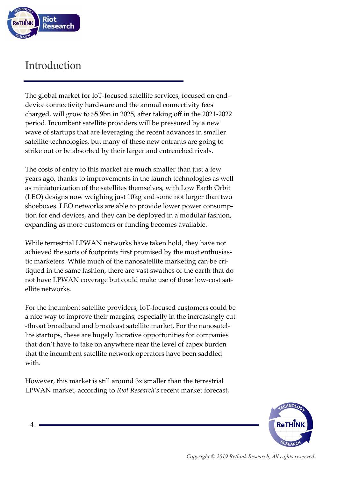

### Introduction

The global market for IoT-focused satellite services, focused on enddevice connectivity hardware and the annual connectivity fees charged, will grow to \$5.9bn in 2025, after taking off in the 2021-2022 period. Incumbent satellite providers will be pressured by a new wave of startups that are leveraging the recent advances in smaller satellite technologies, but many of these new entrants are going to strike out or be absorbed by their larger and entrenched rivals.

The costs of entry to this market are much smaller than just a few years ago, thanks to improvements in the launch technologies as well as miniaturization of the satellites themselves, with Low Earth Orbit (LEO) designs now weighing just 10kg and some not larger than two shoeboxes. LEO networks are able to provide lower power consumption for end devices, and they can be deployed in a modular fashion, expanding as more customers or funding becomes available.

While terrestrial LPWAN networks have taken hold, they have not achieved the sorts of footprints first promised by the most enthusiastic marketers. While much of the nanosatellite marketing can be critiqued in the same fashion, there are vast swathes of the earth that do not have LPWAN coverage but could make use of these low-cost satellite networks.

For the incumbent satellite providers, IoT-focused customers could be a nice way to improve their margins, especially in the increasingly cut -throat broadband and broadcast satellite market. For the nanosatellite startups, these are hugely lucrative opportunities for companies that don't have to take on anywhere near the level of capex burden that the incumbent satellite network operators have been saddled with.

However, this market is still around 3x smaller than the terrestrial LPWAN market, according to *Riot Research's* recent market forecast,

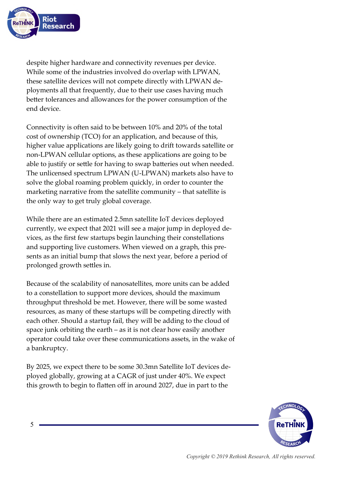

despite higher hardware and connectivity revenues per device. While some of the industries involved do overlap with LPWAN, these satellite devices will not compete directly with LPWAN deployments all that frequently, due to their use cases having much better tolerances and allowances for the power consumption of the end device.

Connectivity is often said to be between 10% and 20% of the total cost of ownership (TCO) for an application, and because of this, higher value applications are likely going to drift towards satellite or non-LPWAN cellular options, as these applications are going to be able to justify or settle for having to swap batteries out when needed. The unlicensed spectrum LPWAN (U-LPWAN) markets also have to solve the global roaming problem quickly, in order to counter the marketing narrative from the satellite community – that satellite is the only way to get truly global coverage.

While there are an estimated 2.5mn satellite IoT devices deployed currently, we expect that 2021 will see a major jump in deployed devices, as the first few startups begin launching their constellations and supporting live customers. When viewed on a graph, this presents as an initial bump that slows the next year, before a period of prolonged growth settles in.

Because of the scalability of nanosatellites, more units can be added to a constellation to support more devices, should the maximum throughput threshold be met. However, there will be some wasted resources, as many of these startups will be competing directly with each other. Should a startup fail, they will be adding to the cloud of space junk orbiting the earth – as it is not clear how easily another operator could take over these communications assets, in the wake of a bankruptcy.

By 2025, we expect there to be some 30.3mn Satellite IoT devices deployed globally, growing at a CAGR of just under 40%. We expect this growth to begin to flatten off in around 2027, due in part to the

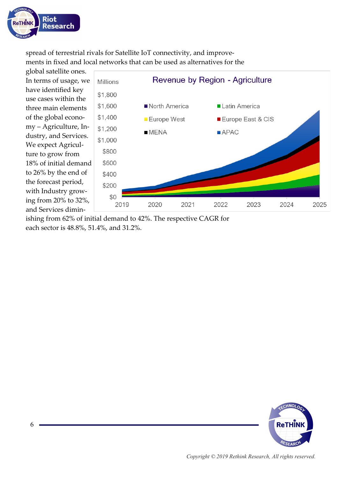

spread of terrestrial rivals for Satellite IoT connectivity, and improvements in fixed and local networks that can be used as alternatives for the

global satellite ones. In terms of usage, we have identified key use cases within the three main elements of the global economy – Agriculture, Industry, and Services. We expect Agriculture to grow from 18% of initial demand to 26% by the end of the forecast period, with Industry growing from 20% to 32%, and Services dimin-



ishing from 62% of initial demand to 42%. The respective CAGR for each sector is 48.8%, 51.4%, and 31.2%.

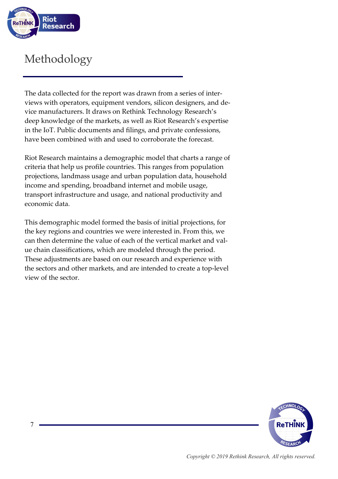

## Methodology

The data collected for the report was drawn from a series of interviews with operators, equipment vendors, silicon designers, and device manufacturers. It draws on Rethink Technology Research's deep knowledge of the markets, as well as Riot Research's expertise in the IoT. Public documents and filings, and private confessions, have been combined with and used to corroborate the forecast.

Riot Research maintains a demographic model that charts a range of criteria that help us profile countries. This ranges from population projections, landmass usage and urban population data, household income and spending, broadband internet and mobile usage, transport infrastructure and usage, and national productivity and economic data.

This demographic model formed the basis of initial projections, for the key regions and countries we were interested in. From this, we can then determine the value of each of the vertical market and value chain classifications, which are modeled through the period. These adjustments are based on our research and experience with the sectors and other markets, and are intended to create a top-level view of the sector.

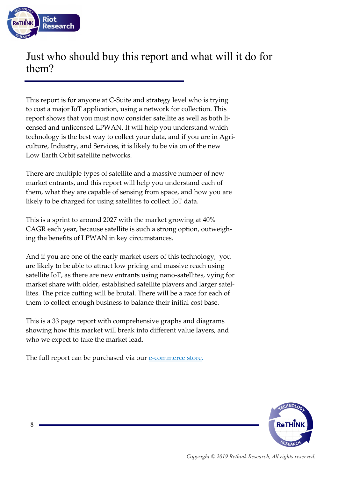

### Just who should buy this report and what will it do for them?

This report is for anyone at C-Suite and strategy level who is trying to cost a major IoT application, using a network for collection. This report shows that you must now consider satellite as well as both licensed and unlicensed LPWAN. It will help you understand which technology is the best way to collect your data, and if you are in Agriculture, Industry, and Services, it is likely to be via on of the new Low Earth Orbit satellite networks.

There are multiple types of satellite and a massive number of new market entrants, and this report will help you understand each of them, what they are capable of sensing from space, and how you are likely to be charged for using satellites to collect IoT data.

This is a sprint to around 2027 with the market growing at 40% CAGR each year, because satellite is such a strong option, outweighing the benefits of LPWAN in key circumstances.

And if you are one of the early market users of this technology, you are likely to be able to attract low pricing and massive reach using satellite IoT, as there are new entrants using nano-satellites, vying for market share with older, established satellite players and larger satellites. The price cutting will be brutal. There will be a race for each of them to collect enough business to balance their initial cost base.

This is a 33 page report with comprehensive graphs and diagrams showing how this market will break into different value layers, and who we expect to take the market lead.

The full report can be purchased via our e-[commerce store.](https://rethinkresearch.biz/store/category/riot-research/)

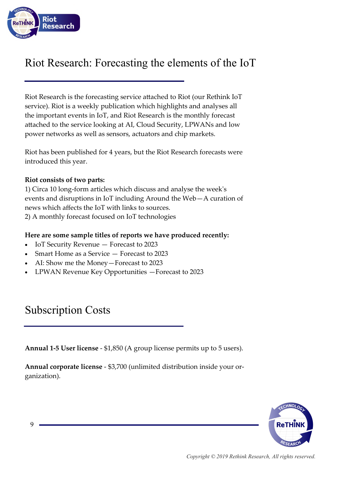

### Riot Research: Forecasting the elements of the IoT

Riot Research is the forecasting service attached to Riot (our Rethink IoT service). Riot is a weekly publication which highlights and analyses all the important events in IoT, and Riot Research is the monthly forecast attached to the service looking at AI, Cloud Security, LPWANs and low power networks as well as sensors, actuators and chip markets.

Riot has been published for 4 years, but the Riot Research forecasts were introduced this year.

#### **Riot consists of two parts:**

1) Circa 10 long-form articles which discuss and analyse the week's events and disruptions in IoT including Around the Web—A curation of news which affects the IoT with links to sources. 2) A monthly forecast focused on IoT technologies

#### **Here are some sample titles of reports we have produced recently:**

- IoT Security Revenue Forecast to 2023
- Smart Home as a Service Forecast to 2023
- AI: Show me the Money—Forecast to 2023
- LPWAN Revenue Key Opportunities —Forecast to 2023

### Subscription Costs

**Annual 1-5 User license** - \$1,850 (A group license permits up to 5 users).

**Annual corporate license** - \$3,700 (unlimited distribution inside your organization).

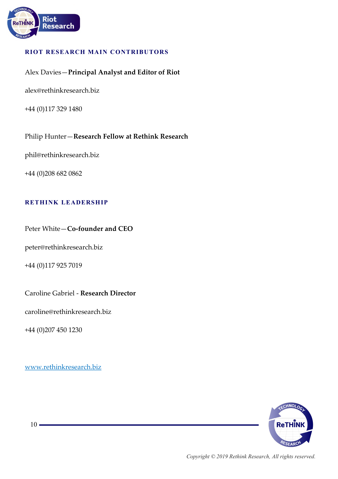

#### **RIOT RESEARCH MAIN CONTRIBUTORS**

#### Alex Davies—**Principal Analyst and Editor of Riot**

alex@rethinkresearch.biz

+44 (0)117 329 1480

Philip Hunter—**Research Fellow at Rethink Research**

phil@rethinkresearch.biz

+44 (0)208 682 0862

#### **RETHINK LEADERSHIP**

Peter White—**Co-founder and CEO**

peter@rethinkresearch.biz

+44 (0)117 925 7019

#### Caroline Gabriel - **Research Director**

caroline@rethinkresearch.biz

+44 (0)207 450 1230

[www.rethinkresearch.biz](https://rethinkresearch.biz)



 $10 -$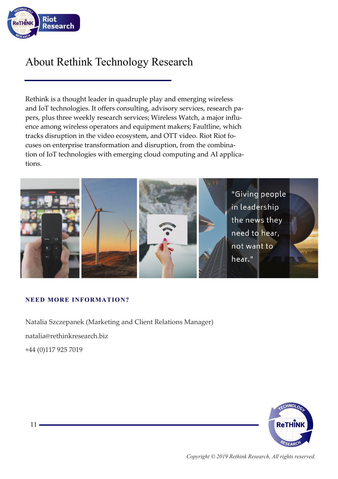

### About Rethink Technology Research

Rethink is a thought leader in quadruple play and emerging wireless and IoT technologies. It offers consulting, advisory services, research papers, plus three weekly research services; Wireless Watch, a major influence among wireless operators and equipment makers; Faultline, which tracks disruption in the video ecosystem, and OTT video. Riot Riot focuses on enterprise transformation and disruption, from the combination of IoT technologies with emerging cloud computing and AI applications.



#### **NEED MORE INFORMATION?**

Natalia Szczepanek (Marketing and Client Relations Manager) natalia@rethinkresearch.biz +44 (0)117 925 7019



 $11 -$